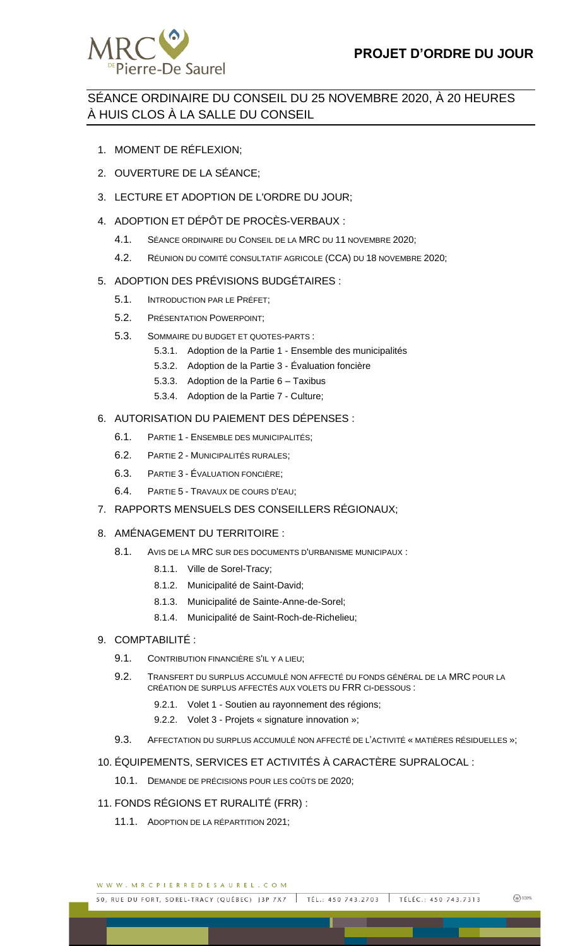

# SÉANCE ORDINAIRE DU CONSEIL DU 25 NOVEMBRE 2020, À 20 HEURES À HUIS CLOS À LA SALLE DU CONSEIL

- 1. MOMENT DE RÉFLEXION;
- 2. OUVERTURE DE LA SÉANCE;
- 3. LECTURE ET ADOPTION DE L'ORDRE DU JOUR;
- 4. ADOPTION ET DÉPÔT DE PROCÈS-VERBAUX :
	- 4.1. SÉANCE ORDINAIRE DU CONSEIL DE LA MRC DU 11 NOVEMBRE 2020;
	- 4.2. RÉUNION DU COMITÉ CONSULTATIF AGRICOLE (CCA) DU 18 NOVEMBRE 2020;

## 5. ADOPTION DES PRÉVISIONS BUDGÉTAIRES :

- 5.1. INTRODUCTION PAR LE PRÉFET;
- 5.2. PRÉSENTATION POWERPOINT;
- 5.3. SOMMAIRE DU BUDGET ET QUOTES-PARTS :
	- 5.3.1. Adoption de la Partie 1 Ensemble des municipalités
	- 5.3.2. Adoption de la Partie 3 Évaluation foncière
	- 5.3.3. Adoption de la Partie 6 Taxibus
	- 5.3.4. Adoption de la Partie 7 Culture;

## 6. AUTORISATION DU PAIEMENT DES DÉPENSES :

- 6.1. PARTIE 1 ENSEMBLE DES MUNICIPALITÉS;
- 6.2. PARTIE 2 MUNICIPALITÉS RURALES;
- 6.3. PARTIE 3 ÉVALUATION FONCIÈRE;
- 6.4. PARTIE 5 TRAVAUX DE COURS D'EAU;

## 7. RAPPORTS MENSUELS DES CONSEILLERS RÉGIONAUX;

## 8. AMÉNAGEMENT DU TERRITOIRE :

- 8.1. AVIS DE LA MRC SUR DES DOCUMENTS D'URBANISME MUNICIPAUX :
	- 8.1.1. Ville de Sorel-Tracy;
	- 8.1.2. Municipalité de Saint-David;
	- 8.1.3. Municipalité de Sainte-Anne-de-Sorel;
	- 8.1.4. Municipalité de Saint-Roch-de-Richelieu;

## 9. COMPTABILITÉ :

- 9.1. CONTRIBUTION FINANCIÈRE S'IL Y A LIEU;
- 9.2. TRANSFERT DU SURPLUS ACCUMULÉ NON AFFECTÉ DU FONDS GÉNÉRAL DE LA MRC POUR LA CRÉATION DE SURPLUS AFFECTÉS AUX VOLETS DU FRR CI-DESSOUS :
	- 9.2.1. Volet 1 Soutien au rayonnement des régions;
	- 9.2.2. Volet 3 Projets « signature innovation »;
- 9.3. AFFECTATION DU SURPLUS ACCUMULÉ NON AFFECTÉ DE L'ACTIVITÉ « MATIÈRES RÉSIDUELLES »;

## 10. ÉQUIPEMENTS, SERVICES ET ACTIVITÉS À CARACTÈRE SUPRALOCAL :

- 10.1. DEMANDE DE PRÉCISIONS POUR LES COÛTS DE 2020;
- 11. FONDS RÉGIONS ET RURALITÉ (FRR) :
	- 11.1. ADOPTION DE LA RÉPARTITION 2021;

WWW.MRCPIERREDESAUREL.COM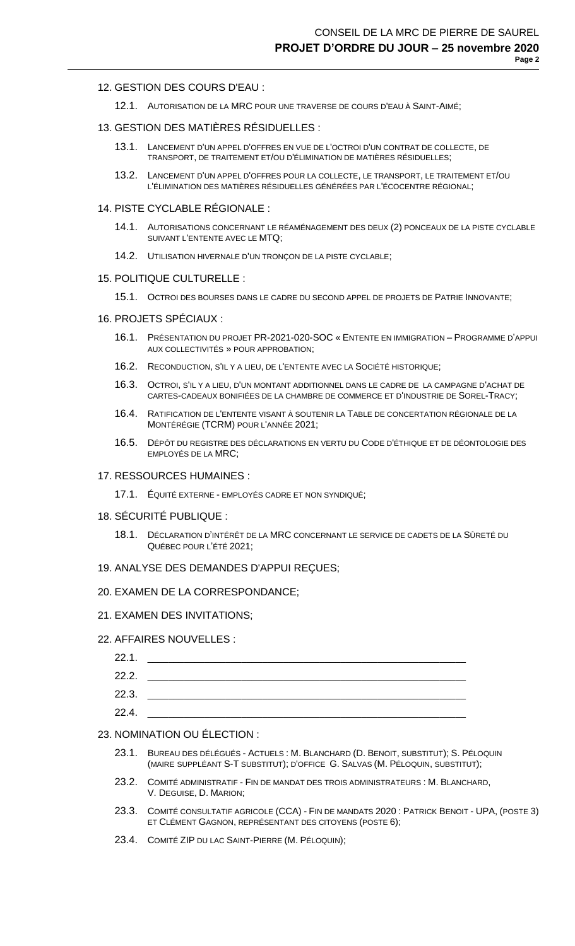### 12. GESTION DES COURS D'EAU :

12.1. AUTORISATION DE LA MRC POUR UNE TRAVERSE DE COURS D'EAU À SAINT-AIMÉ;

### 13. GESTION DES MATIÈRES RÉSIDUELLES :

- 13.1. LANCEMENT D'UN APPEL D'OFFRES EN VUE DE L'OCTROI D'UN CONTRAT DE COLLECTE, DE TRANSPORT, DE TRAITEMENT ET/OU D'ÉLIMINATION DE MATIÈRES RÉSIDUELLES;
- 13.2. LANCEMENT D'UN APPEL D'OFFRES POUR LA COLLECTE, LE TRANSPORT, LE TRAITEMENT ET/OU L'ÉLIMINATION DES MATIÈRES RÉSIDUELLES GÉNÉRÉES PAR L'ÉCOCENTRE RÉGIONAL;

### 14. PISTE CYCLABLE RÉGIONALE :

- 14.1. AUTORISATIONS CONCERNANT LE RÉAMÉNAGEMENT DES DEUX (2) PONCEAUX DE LA PISTE CYCLABLE SUIVANT L'ENTENTE AVEC LE MTQ;
- 14.2. UTILISATION HIVERNALE D'UN TRONÇON DE LA PISTE CYCLABLE;

### 15. POLITIQUE CULTURELLE :

- 15.1. OCTROI DES BOURSES DANS LE CADRE DU SECOND APPEL DE PROJETS DE PATRIE INNOVANTE;
- 16. PROJETS SPÉCIAUX :
	- 16.1. PRÉSENTATION DU PROJET PR-2021-020-SOC « ENTENTE EN IMMIGRATION PROGRAMME D'APPUI AUX COLLECTIVITÉS » POUR APPROBATION;
	- 16.2. RECONDUCTION, S'IL Y A LIEU, DE L'ENTENTE AVEC LA SOCIÉTÉ HISTORIQUE;
	- 16.3. OCTROI, S'IL Y A LIEU, D'UN MONTANT ADDITIONNEL DANS LE CADRE DE LA CAMPAGNE D'ACHAT DE CARTES-CADEAUX BONIFIÉES DE LA CHAMBRE DE COMMERCE ET D'INDUSTRIE DE SOREL-TRACY;
	- 16.4. RATIFICATION DE L'ENTENTE VISANT À SOUTENIR LA TABLE DE CONCERTATION RÉGIONALE DE LA MONTÉRÉGIE (TCRM) POUR L'ANNÉE 2021;
	- 16.5. DÉPÔT DU REGISTRE DES DÉCLARATIONS EN VERTU DU CODE D'ÉTHIQUE ET DE DÉONTOLOGIE DES EMPLOYÉS DE LA MRC;

### 17. RESSOURCES HUMAINES :

- 17.1. ÉQUITÉ EXTERNE EMPLOYÉS CADRE ET NON SYNDIQUÉ;
- 18. SÉCURITÉ PUBLIQUE :
	- 18.1. DÉCLARATION D'INTÉRÊT DE LA MRC CONCERNANT LE SERVICE DE CADETS DE LA SÛRETÉ DU QUÉBEC POUR L'ÉTÉ 2021;
- 19. ANALYSE DES DEMANDES D'APPUI REÇUES;

#### 20. EXAMEN DE LA CORRESPONDANCE;

21. EXAMEN DES INVITATIONS;

#### 22. AFFAIRES NOUVELLES :

| 22.1. |  |
|-------|--|
| 22.2. |  |
| 22.3. |  |
| 22.4. |  |

### 23. NOMINATION OU ÉLECTION :

- 23.1. BUREAU DES DÉLÉGUÉS ACTUELS : M. BLANCHARD (D. BENOIT, SUBSTITUT); S. PÉLOQUIN (MAIRE SUPPLÉANT S-T SUBSTITUT); D'OFFICE G. SALVAS (M. PÉLOQUIN, SUBSTITUT);
- 23.2. COMITÉ ADMINISTRATIF FIN DE MANDAT DES TROIS ADMINISTRATEURS : M. BLANCHARD, V. DEGUISE, D. MARION;
- 23.3. COMITÉ CONSULTATIF AGRICOLE (CCA) FIN DE MANDATS 2020 : PATRICK BENOIT UPA, (POSTE 3) ET CLÉMENT GAGNON, REPRÉSENTANT DES CITOYENS (POSTE 6);
- 23.4. COMITÉ ZIP DU LAC SAINT-PIERRE (M. PÉLOQUIN);